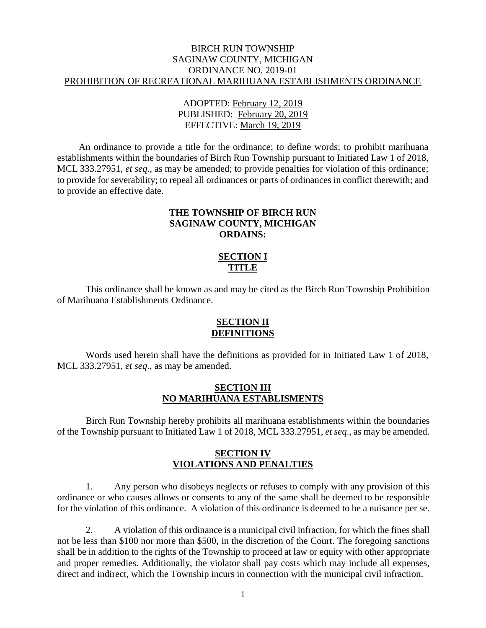### BIRCH RUN TOWNSHIP SAGINAW COUNTY, MICHIGAN ORDINANCE NO. 2019-01 PROHIBITION OF RECREATIONAL MARIHUANA ESTABLISHMENTS ORDINANCE

## ADOPTED: February 12, 2019 PUBLISHED: February 20, 2019 EFFECTIVE: March 19, 2019

An ordinance to provide a title for the ordinance; to define words; to prohibit marihuana establishments within the boundaries of Birch Run Township pursuant to Initiated Law 1 of 2018, MCL 333.27951, *et seq*., as may be amended; to provide penalties for violation of this ordinance; to provide for severability; to repeal all ordinances or parts of ordinances in conflict therewith; and to provide an effective date.

## **THE TOWNSHIP OF BIRCH RUN SAGINAW COUNTY, MICHIGAN ORDAINS:**

## **SECTION I TITLE**

This ordinance shall be known as and may be cited as the Birch Run Township Prohibition of Marihuana Establishments Ordinance.

### **SECTION II DEFINITIONS**

Words used herein shall have the definitions as provided for in Initiated Law 1 of 2018, MCL 333.27951, *et seq*., as may be amended.

### **SECTION III NO MARIHUANA ESTABLISMENTS**

Birch Run Township hereby prohibits all marihuana establishments within the boundaries of the Township pursuant to Initiated Law 1 of 2018, MCL 333.27951, *et seq*., as may be amended.

# **SECTION IV VIOLATIONS AND PENALTIES**

1. Any person who disobeys neglects or refuses to comply with any provision of this ordinance or who causes allows or consents to any of the same shall be deemed to be responsible for the violation of this ordinance. A violation of this ordinance is deemed to be a nuisance per se.

2. A violation of this ordinance is a municipal civil infraction, for which the fines shall not be less than \$100 nor more than \$500, in the discretion of the Court. The foregoing sanctions shall be in addition to the rights of the Township to proceed at law or equity with other appropriate and proper remedies. Additionally, the violator shall pay costs which may include all expenses, direct and indirect, which the Township incurs in connection with the municipal civil infraction.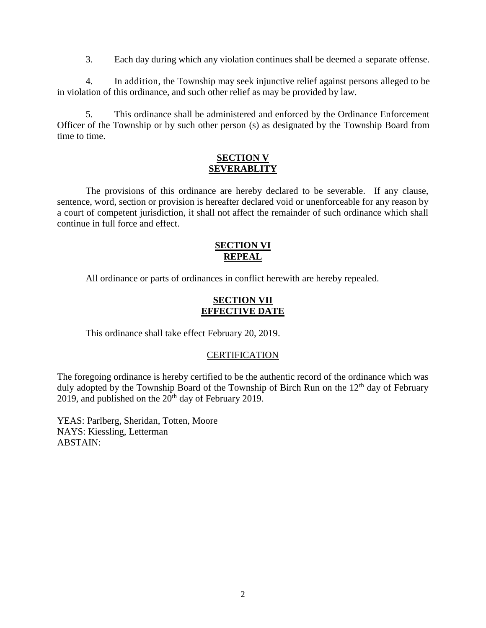3. Each day during which any violation continues shall be deemed a separate offense.

4. In addition, the Township may seek injunctive relief against persons alleged to be in violation of this ordinance, and such other relief as may be provided by law.

5. This ordinance shall be administered and enforced by the Ordinance Enforcement Officer of the Township or by such other person (s) as designated by the Township Board from time to time.

### **SECTION V SEVERABLITY**

The provisions of this ordinance are hereby declared to be severable. If any clause, sentence, word, section or provision is hereafter declared void or unenforceable for any reason by a court of competent jurisdiction, it shall not affect the remainder of such ordinance which shall continue in full force and effect.

### **SECTION VI REPEAL**

All ordinance or parts of ordinances in conflict herewith are hereby repealed.

## **SECTION VII EFFECTIVE DATE**

This ordinance shall take effect February 20, 2019.

### **CERTIFICATION**

The foregoing ordinance is hereby certified to be the authentic record of the ordinance which was duly adopted by the Township Board of the Township of Birch Run on the  $12<sup>th</sup>$  day of February 2019, and published on the  $20<sup>th</sup>$  day of February 2019.

YEAS: Parlberg, Sheridan, Totten, Moore NAYS: Kiessling, Letterman ABSTAIN: